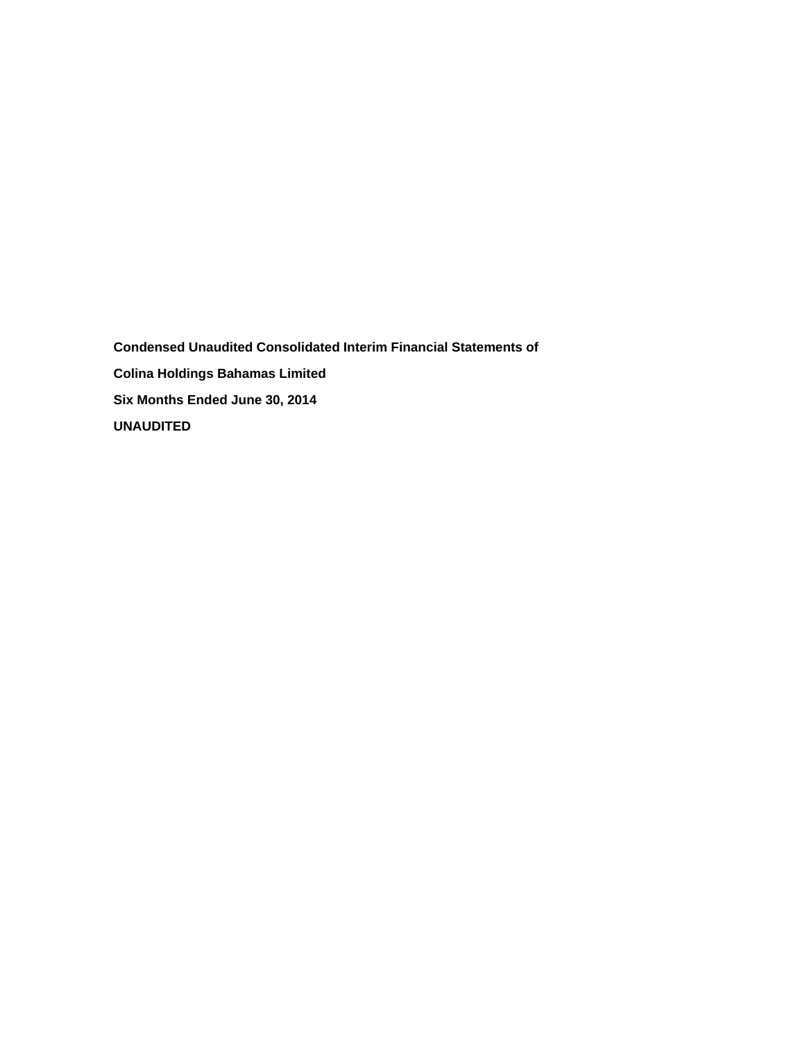**Condensed Unaudited Consolidated Interim Financial Statements of Colina Holdings Bahamas Limited Six Months Ended June 30, 2014 UNAUDITED**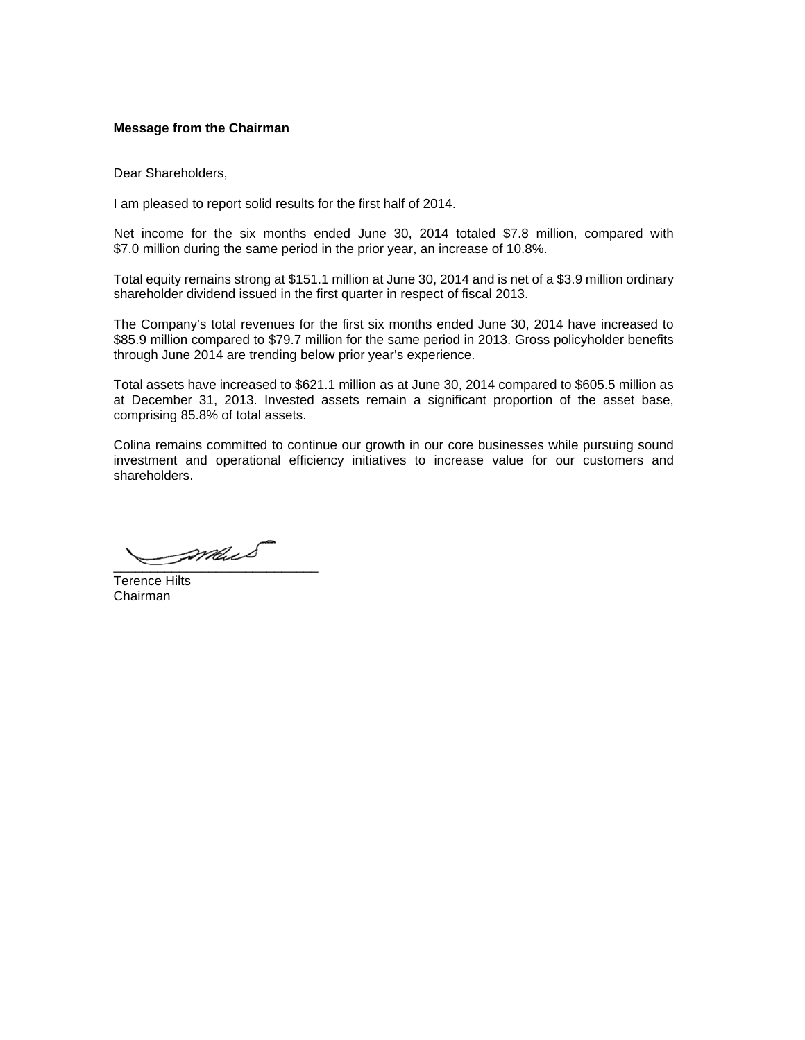# **Message from the Chairman**

Dear Shareholders,

I am pleased to report solid results for the first half of 2014.

Net income for the six months ended June 30, 2014 totaled \$7.8 million, compared with \$7.0 million during the same period in the prior year, an increase of 10.8%.

Total equity remains strong at \$151.1 million at June 30, 2014 and is net of a \$3.9 million ordinary shareholder dividend issued in the first quarter in respect of fiscal 2013.

The Company's total revenues for the first six months ended June 30, 2014 have increased to \$85.9 million compared to \$79.7 million for the same period in 2013. Gross policyholder benefits through June 2014 are trending below prior year's experience.

Total assets have increased to \$621.1 million as at June 30, 2014 compared to \$605.5 million as at December 31, 2013. Invested assets remain a significant proportion of the asset base, comprising 85.8% of total assets.

Colina remains committed to continue our growth in our core businesses while pursuing sound investment and operational efficiency initiatives to increase value for our customers and shareholders.

\_\_\_\_\_\_\_\_\_\_\_\_\_\_\_\_\_\_\_\_\_\_\_\_\_\_\_\_

Terence Hilts Chairman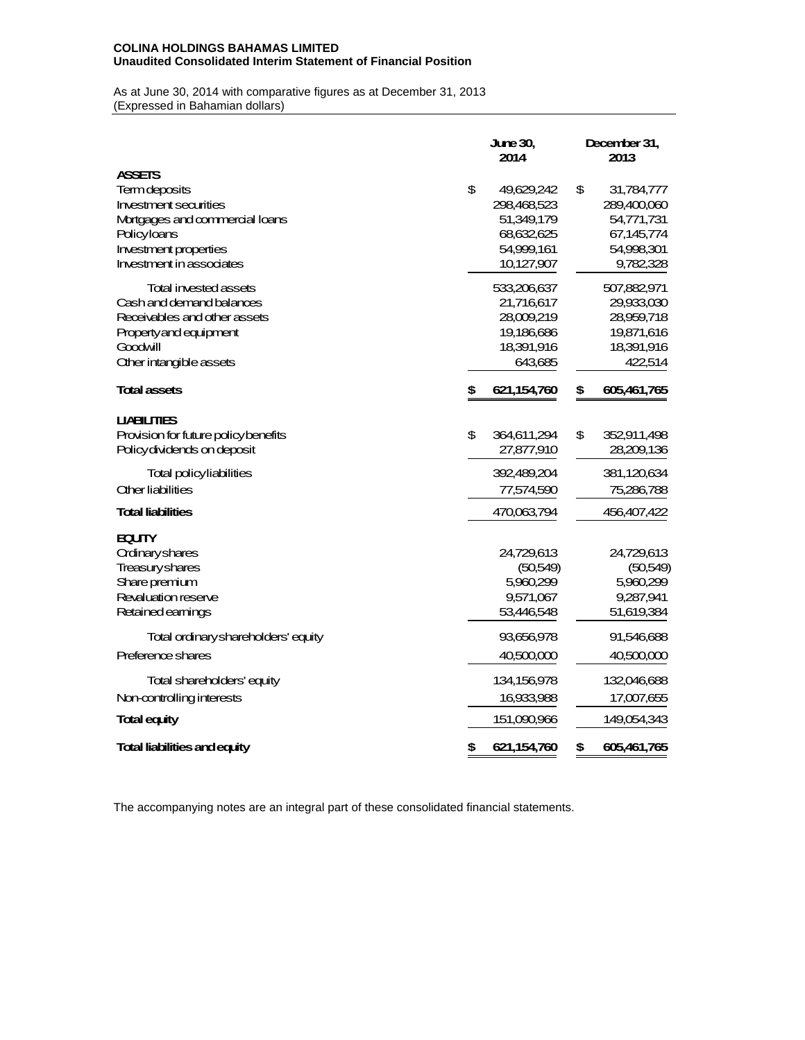## **COLINA HOLDINGS BAHAMAS LIMITED Unaudited Consolidated Interim Statement of Financial Position**

As at June 30, 2014 with comparative figures as at December 31, 2013 (Expressed in Bahamian dollars)

|                                      | <b>June 30.</b><br>2014 |               |    | December 31,<br>2013 |  |  |  |  |
|--------------------------------------|-------------------------|---------------|----|----------------------|--|--|--|--|
| <b>ASSETS</b>                        |                         |               |    |                      |  |  |  |  |
| Termdeposits                         | \$                      | 49,629,242    | \$ | 31,784,777           |  |  |  |  |
| <b>Investment securities</b>         |                         | 298,468,523   |    | 289,400,060          |  |  |  |  |
| Mortgages and commercial loans       |                         | 51,349,179    |    | 54,771,731           |  |  |  |  |
| Policyloans                          |                         | 68,632,625    |    | 67,145,774           |  |  |  |  |
| Investment properties                |                         | 54,999,161    |    | 54,998,301           |  |  |  |  |
| Investment in associates             |                         | 10,127,907    |    | 9,782,328            |  |  |  |  |
| <b>Total invested assets</b>         |                         | 533,206,637   |    | 507,882,971          |  |  |  |  |
| Cash and demand balances             |                         | 21,716,617    |    | 29,933,030           |  |  |  |  |
| Receivables and other assets         |                         | 28,009,219    |    | 28,959,718           |  |  |  |  |
| Property and equipment               |                         | 19,186,686    |    | 19,871,616           |  |  |  |  |
| Goodwill                             |                         | 18,391,916    |    | 18,391,916           |  |  |  |  |
| <b>Other intangible assets</b>       |                         | 643,685       |    | 422,514              |  |  |  |  |
| <b>Total assets</b>                  | \$                      | 621, 154, 760 | \$ | 605,461,765          |  |  |  |  |
| <b>UABILITIES</b>                    |                         |               |    |                      |  |  |  |  |
| Provision for future policy benefits | \$                      | 364,611,294   | \$ | 352,911,498          |  |  |  |  |
| Policy dividends on deposit          |                         | 27,877,910    |    | 28,209,136           |  |  |  |  |
| Total policy liabilities             |                         | 392,489,204   |    | 381,120,634          |  |  |  |  |
| <b>Other liabilities</b>             |                         | 77,574,590    |    | 75,286,788           |  |  |  |  |
| <b>Total liabilities</b>             |                         | 470,063,794   |    | 456,407,422          |  |  |  |  |
| <b>EQUITY</b>                        |                         |               |    |                      |  |  |  |  |
| Ordinaryshares                       |                         | 24,729,613    |    | 24,729,613           |  |  |  |  |
| <b>Treasuryshares</b>                |                         | (50,549)      |    | (50,549)             |  |  |  |  |
| Share premium                        |                         | 5,960,299     |    | 5,960,299            |  |  |  |  |
| Revaluation reserve                  |                         | 9,571,067     |    | 9,287,941            |  |  |  |  |
| Retained earnings                    |                         | 53,446,548    |    | 51,619,384           |  |  |  |  |
| Total ordinary shareholders' equity  |                         | 93,656,978    |    | 91,546,688           |  |  |  |  |
| Preference shares                    |                         | 40,500,000    |    | 40,500,000           |  |  |  |  |
| Total shareholders' equity           |                         | 134,156,978   |    | 132,046,688          |  |  |  |  |
| Non-controlling interests            |                         | 16,933,988    |    | 17,007,655           |  |  |  |  |
| <b>Total equity</b>                  |                         | 151,090,966   |    | 149,054,343          |  |  |  |  |
| <b>Total liabilities and equity</b>  | \$                      | 621,154,760   | \$ | 605,461,765          |  |  |  |  |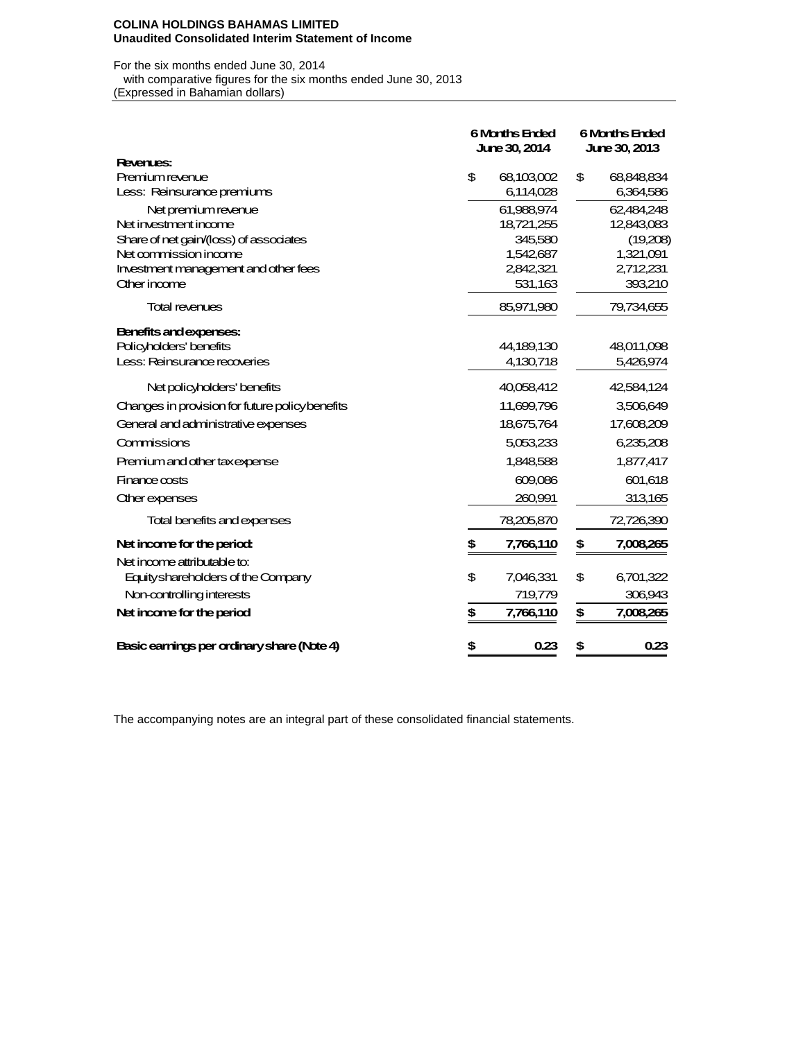#### **COLINA HOLDINGS BAHAMAS LIMITED Unaudited Consolidated Interim Statement of Income**

For the six months ended June 30, 2014 with comparative figures for the six months ended June 30, 2013 (Expressed in Bahamian dollars)

|                                                 | <b>6 Months Ended</b><br>June 30, 2014 |            |    | <b>6 Months Ended</b><br>June 30, 2013 |  |  |  |
|-------------------------------------------------|----------------------------------------|------------|----|----------------------------------------|--|--|--|
| <b>Revenues:</b>                                |                                        |            |    |                                        |  |  |  |
| Premium revenue                                 | \$                                     | 68,103,002 | \$ | 68,848,834                             |  |  |  |
| Less: Reinsurance premiums                      |                                        | 6,114,028  |    | 6,364,586                              |  |  |  |
| Net premium revenue                             |                                        | 61.988.974 |    | 62,484,248                             |  |  |  |
| Net investment income                           |                                        | 18,721,255 |    | 12,843,083                             |  |  |  |
| Share of net gain/(loss) of associates          |                                        | 345,580    |    | (19,208)                               |  |  |  |
| Net commission income                           |                                        | 1,542,687  |    | 1,321,091                              |  |  |  |
| Investment management and other fees            |                                        | 2,842,321  |    | 2,712,231                              |  |  |  |
| Other income                                    |                                        | 531,163    |    | 393,210                                |  |  |  |
| <b>Total revenues</b>                           |                                        | 85,971,980 |    | 79,734,655                             |  |  |  |
| Benefits and expenses:                          |                                        |            |    |                                        |  |  |  |
| Policyholders' benefits                         |                                        | 44,189,130 |    | 48,011,098                             |  |  |  |
| Less: Reinsurance recoveries                    |                                        | 4,130,718  |    | 5,426,974                              |  |  |  |
| Net policyholders' benefits                     |                                        | 40,058,412 |    | 42,584,124                             |  |  |  |
| Changes in provision for future policy benefits |                                        | 11,699,796 |    | 3,506,649                              |  |  |  |
| General and administrative expenses             |                                        | 18,675,764 |    | 17,608,209                             |  |  |  |
| Commissions                                     |                                        | 5,053,233  |    | 6,235,208                              |  |  |  |
| Premium and other taxexpense                    |                                        | 1,848,588  |    | 1,877,417                              |  |  |  |
| Finance costs                                   |                                        | 609,086    |    | 601,618                                |  |  |  |
| <b>Other expenses</b>                           |                                        | 260,991    |    | 313,165                                |  |  |  |
| Total benefits and expenses                     |                                        | 78,205,870 |    | 72,726,390                             |  |  |  |
| Net income for the period:                      | \$                                     | 7,766,110  | \$ | 7,008,265                              |  |  |  |
| Net income attributable to:                     |                                        |            |    |                                        |  |  |  |
| Equity shareholders of the Company              | \$                                     | 7,046,331  | \$ | 6,701,322                              |  |  |  |
| Non-controlling interests                       |                                        | 719,779    |    | 306,943                                |  |  |  |
| Net income for the period                       | \$                                     | 7,766,110  | \$ | 7,008,265                              |  |  |  |
| Basic earnings per ordinary share (Note 4)      | \$                                     | 0.23       | \$ | 0.23                                   |  |  |  |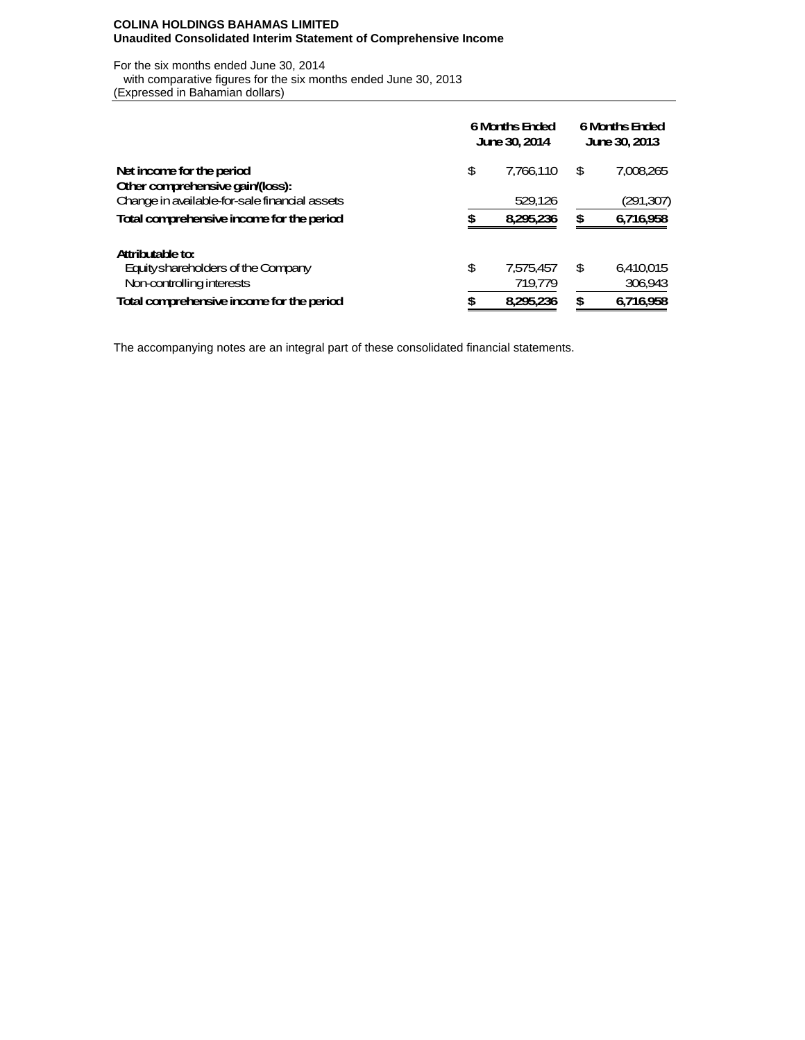# **COLINA HOLDINGS BAHAMAS LIMITED Unaudited Consolidated Interim Statement of Comprehensive Income**

For the six months ended June 30, 2014 with comparative figures for the six months ended June 30, 2013 (Expressed in Bahamian dollars)

|                                               | <b>6 Months Ended</b><br><b>June 30, 2014</b> | <b>6 Months Ended</b><br>June 30, 2013 |    |           |  |
|-----------------------------------------------|-----------------------------------------------|----------------------------------------|----|-----------|--|
| Net income for the period                     | \$                                            | 7.766.110                              | \$ | 7.008.265 |  |
| Other comprehensive gain/(loss):              |                                               |                                        |    |           |  |
| Change in available for-sale financial assets |                                               | 529,126                                |    | (291,307) |  |
| Total comprehensive income for the period     | S                                             | 8.295.236                              | \$ | 6,716,958 |  |
| Attributable to:                              |                                               |                                        |    |           |  |
| Equity shareholders of the Company            | \$                                            | 7.575.457                              | \$ | 6.410.015 |  |
| Non-controlling interests                     |                                               | 719,779                                |    | 306,943   |  |
| Total comprehensive income for the period     | S                                             | 8.295.236                              | £. | 6.716.958 |  |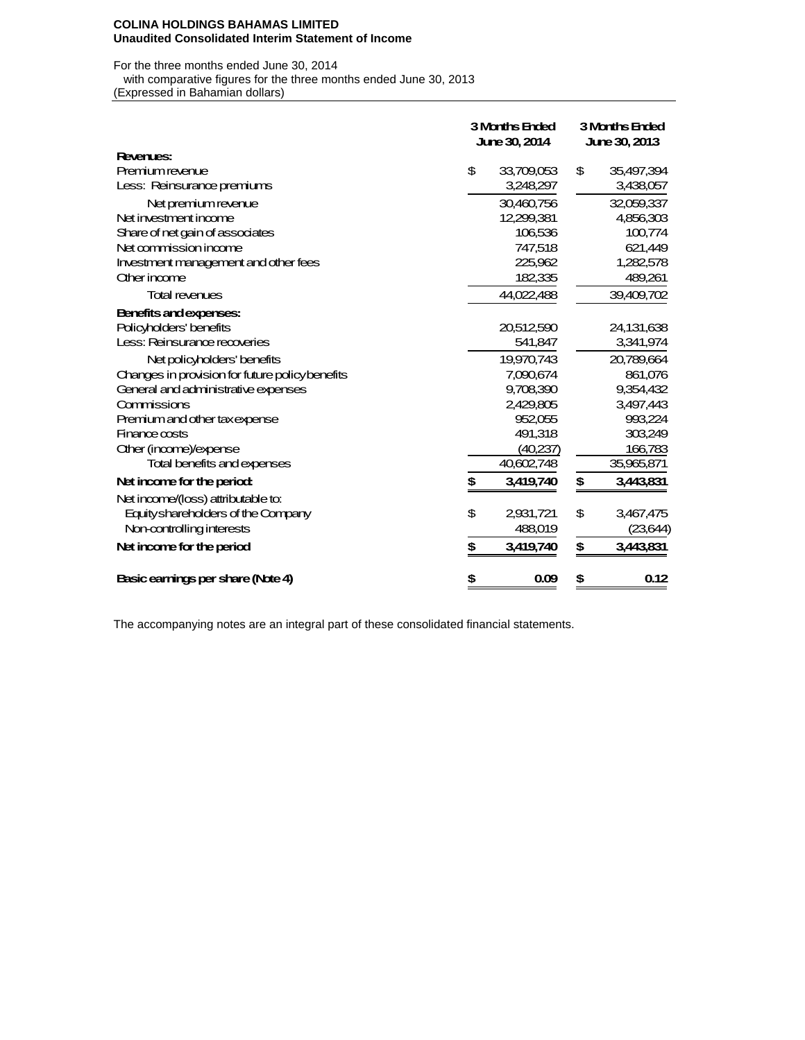#### **COLINA HOLDINGS BAHAMAS LIMITED Unaudited Consolidated Interim Statement of Income**

For the three months ended June 30, 2014 with comparative figures for the three months ended June 30, 2013

(Expressed in Bahamian dollars)

|                                                 | <b>3 Months Ended</b><br>June 30, 2014 |            | 3 Months Ended<br>June 30, 2013 |            |  |  |
|-------------------------------------------------|----------------------------------------|------------|---------------------------------|------------|--|--|
| Revenues:                                       |                                        |            |                                 |            |  |  |
| Premium revenue                                 | \$                                     | 33,709,053 | \$                              | 35,497,394 |  |  |
| Less: Reinsurance premiums                      |                                        | 3,248,297  |                                 | 3,438,057  |  |  |
| Net premium revenue                             |                                        | 30,460,756 |                                 | 32,059,337 |  |  |
| Net investment income                           |                                        | 12,299,381 |                                 | 4,856,303  |  |  |
| Share of net gain of associates                 |                                        | 106,536    |                                 | 100,774    |  |  |
| Net commission income                           |                                        | 747,518    |                                 | 621,449    |  |  |
| Investment management and other fees            |                                        | 225,962    |                                 | 1,282,578  |  |  |
| Other income                                    |                                        | 182,335    |                                 | 489,261    |  |  |
| <b>Total revenues</b>                           |                                        | 44,022,488 |                                 | 39,409,702 |  |  |
| Benefits and expenses:                          |                                        |            |                                 |            |  |  |
| Policyholders' benefits                         |                                        | 20,512,590 |                                 | 24,131,638 |  |  |
| Less: Reinsurance recoveries                    |                                        | 541,847    |                                 | 3,341,974  |  |  |
| Net policyholders' benefits                     |                                        | 19,970,743 |                                 | 20,789,664 |  |  |
| Changes in provision for future policy benefits |                                        | 7,090,674  |                                 | 861,076    |  |  |
| General and administrative expenses             |                                        | 9,708,390  |                                 | 9,354,432  |  |  |
| Commissions                                     |                                        | 2,429,805  |                                 | 3,497,443  |  |  |
| Premium and other taxexpense                    |                                        | 952,055    |                                 | 993,224    |  |  |
| Finance costs                                   |                                        | 491,318    |                                 | 303,249    |  |  |
| Other (income)/expense                          |                                        | (40,237)   |                                 | 166,783    |  |  |
| Total benefits and expenses                     |                                        | 40,602,748 |                                 | 35,965,871 |  |  |
| Net income for the period:                      | \$                                     | 3,419,740  | \$                              | 3,443,831  |  |  |
| Net income/(loss) attributable to:              |                                        |            |                                 |            |  |  |
| Equity shareholders of the Company              | \$                                     | 2,931,721  | \$                              | 3,467,475  |  |  |
| Non-controlling interests                       |                                        | 488,019    |                                 | (23,644)   |  |  |
| Net income for the period                       | \$                                     | 3,419,740  | \$                              | 3,443,831  |  |  |
| Basic earnings per share (Note 4)               | \$                                     | 0.09       | \$                              | 0.12       |  |  |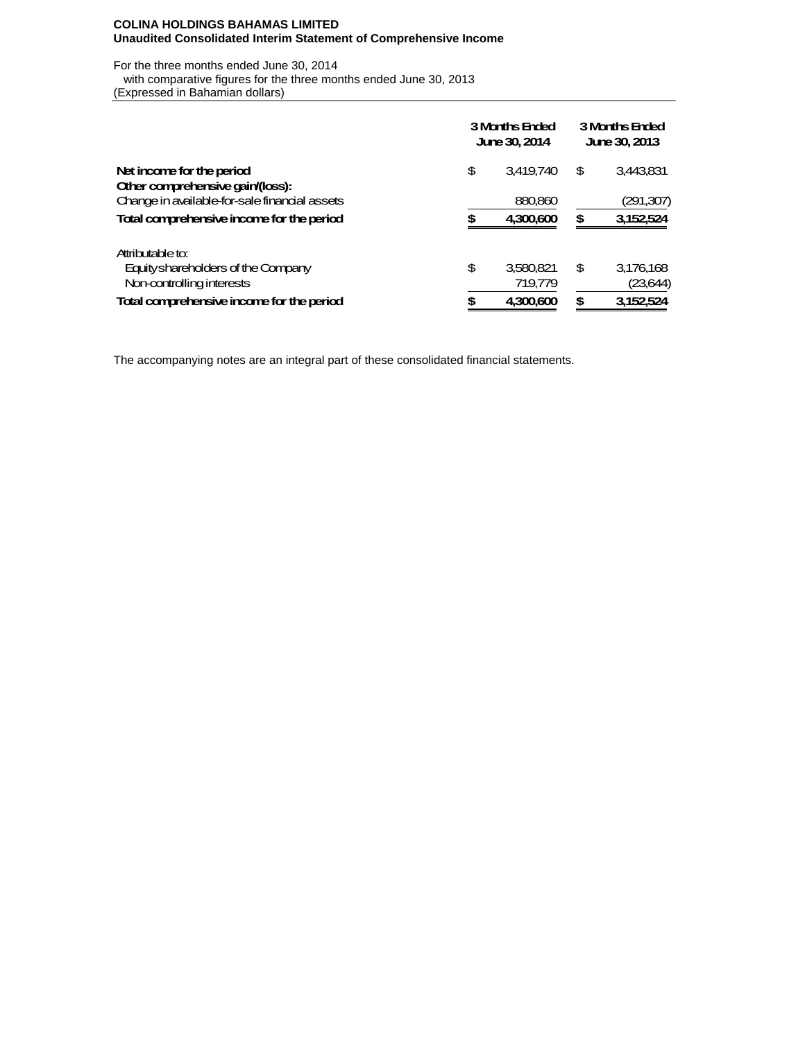### **COLINA HOLDINGS BAHAMAS LIMITED Unaudited Consolidated Interim Statement of Comprehensive Income**

For the three months ended June 30, 2014 with comparative figures for the three months ended June 30, 2013 (Expressed in Bahamian dollars)

|                                               | 3 Months Ended<br><b>June 30, 2014</b> |           |    | <b>3 Months Ended</b><br>June 30, 2013 |  |  |  |
|-----------------------------------------------|----------------------------------------|-----------|----|----------------------------------------|--|--|--|
| Net income for the period                     | \$                                     | 3,419,740 | \$ | 3,443,831                              |  |  |  |
| Other comprehensive gain/(loss):              |                                        |           |    |                                        |  |  |  |
| Change in available for-sale financial assets |                                        | 880,860   |    | (291,307)                              |  |  |  |
| Total comprehensive income for the period     | S                                      | 4.300,600 | \$ | 3,152,524                              |  |  |  |
| Attributable to:                              |                                        |           |    |                                        |  |  |  |
| Equity shareholders of the Company            | \$                                     | 3.580.821 | \$ | 3,176,168                              |  |  |  |
| Non-controlling interests                     |                                        | 719,779   |    | (23,644)                               |  |  |  |
| Total comprehensive income for the period     | œ                                      | 4.300.600 | \$ | 3,152,524                              |  |  |  |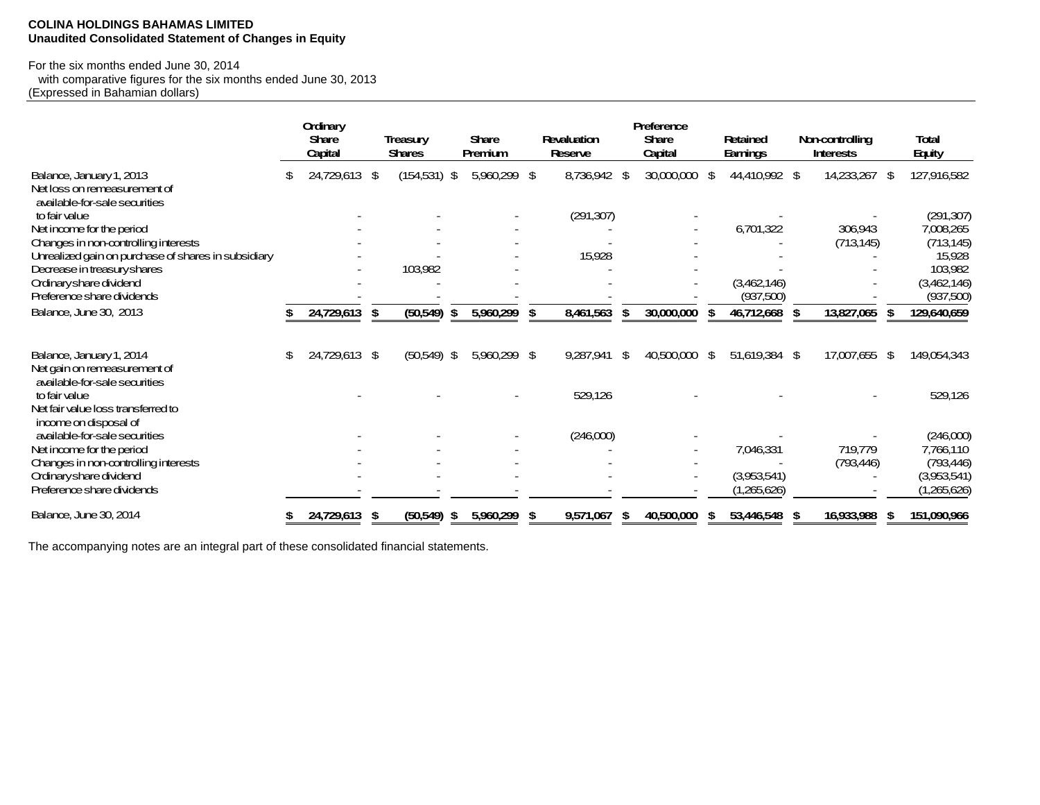# **COLINA HOLDINGS BAHAMAS LIMITED Unaudited Consolidated Statement of Changes in Equity**

# For the six months ended June 30, 2014

 with comparative figures for the six months ended June 30, 2013 (Expressed in Bahamian dollars)

|                                                               |    | Ordinary                |      |                                  |                         |                                      |    | Preference              |     |                      |     |                                            |                               |
|---------------------------------------------------------------|----|-------------------------|------|----------------------------------|-------------------------|--------------------------------------|----|-------------------------|-----|----------------------|-----|--------------------------------------------|-------------------------------|
|                                                               |    | <b>Share</b><br>Capital |      | <b>Treasury</b><br><b>Shares</b> | <b>Share</b><br>Premium | <b>Revaluation</b><br><b>Reserve</b> |    | <b>Share</b><br>Capital |     | Retained<br>Earnings |     | <b>Non-controlling</b><br><b>Interests</b> | <b>Total</b><br><b>Equity</b> |
|                                                               |    |                         |      |                                  |                         |                                      |    |                         |     |                      |     |                                            |                               |
| Balance, January 1, 2013                                      | S  | 24,729,613 \$           |      | $(154,531)$ \$                   | 5,960,299 \$            | 8,736,942                            | \$ | 30,000,000              | -\$ | 44,410,992 \$        |     | 14,233,267                                 | \$<br>127,916,582             |
| Net loss on remeasurement of<br>available-for-sale securities |    |                         |      |                                  |                         |                                      |    |                         |     |                      |     |                                            |                               |
| to fair value                                                 |    |                         |      |                                  |                         | (291, 307)                           |    |                         |     |                      |     |                                            | (291, 307)                    |
| Net income for the period                                     |    |                         |      |                                  |                         |                                      |    |                         |     | 6,701,322            |     | 306,943                                    | 7,008,265                     |
| Changes in non-controlling interests                          |    |                         |      |                                  |                         |                                      |    |                         |     |                      |     | (713, 145)                                 | (713, 145)                    |
| Unrealized gain on purchase of shares in subsidiary           |    |                         |      |                                  |                         | 15,928                               |    |                         |     |                      |     |                                            | 15,928                        |
| Decrease in treasury shares                                   |    |                         |      | 103,982                          |                         |                                      |    |                         |     |                      |     |                                            | 103,982                       |
| Ordinary share dividend                                       |    |                         |      |                                  |                         |                                      |    |                         |     | (3,462,146)          |     |                                            | (3,462,146)                   |
| Preference share dividends                                    |    |                         |      |                                  |                         |                                      |    |                         |     | (937,500)            |     |                                            | (937,500)                     |
| Balance, June 30, 2013                                        |    | 24,729,613 \$           |      | (50,549)                         | \$<br>5,960,299         | \$<br>8,461,563                      | \$ | 30,000,000              |     | 46,712,668           | \$  | 13,827,065                                 | 129,640,659                   |
| Balance, January 1, 2014                                      | \$ | 24,729,613 \$           |      | (50,549)                         | \$<br>5,960,299 \$      | 9,287,941                            | \$ | 40,500,000 \$           |     | 51,619,384 \$        |     | 17,007,655 \$                              | 149,054,343                   |
| Net gain on remeasurement of<br>available-for-sale securities |    |                         |      |                                  |                         |                                      |    |                         |     |                      |     |                                            |                               |
| to fair value                                                 |    |                         |      |                                  |                         | 529,126                              |    |                         |     |                      |     |                                            | 529,126                       |
| Net fair value loss transferred to<br>income on disposal of   |    |                         |      |                                  |                         |                                      |    |                         |     |                      |     |                                            |                               |
| available-for-sale securities                                 |    |                         |      |                                  |                         | (246,000)                            |    |                         |     |                      |     |                                            | (246,000)                     |
| Net income for the period                                     |    |                         |      |                                  |                         |                                      |    |                         |     | 7,046,331            |     | 719,779                                    | 7,766,110                     |
| Changes in non-controlling interests                          |    |                         |      |                                  |                         |                                      |    |                         |     |                      |     | (793, 446)                                 | (793, 446)                    |
| Ordinary share dividend                                       |    |                         |      |                                  |                         |                                      |    |                         |     | (3,953,541)          |     |                                            | (3,953,541)                   |
| Preference share dividends                                    |    |                         |      |                                  |                         |                                      |    |                         |     | (1,265,626)          |     |                                            | (1,265,626)                   |
| Balance, June 30, 2014                                        |    | 24,729,613              | - \$ | (50, 549)                        | \$<br>5,960,299         | 9,571,067                            | S  | 40,500,000              | 56  | 53,446,548           | -56 | 16,933,988                                 | 151,090,966                   |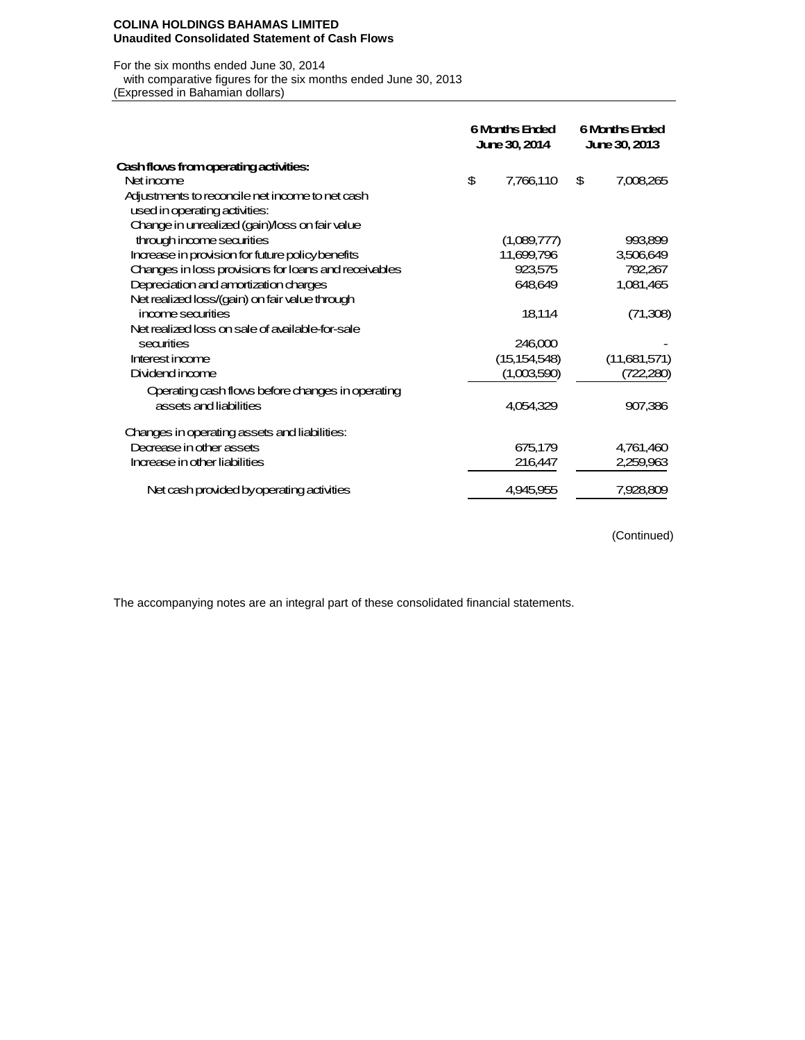#### **COLINA HOLDINGS BAHAMAS LIMITED Unaudited Consolidated Statement of Cash Flows**

#### For the six months ended June 30, 2014

with comparative figures for the six months ended June 30, 2013

(Expressed in Bahamian dollars)

|                                                      | <b>6 Months Ended</b><br><b>June 30, 2014</b> | <b>6 Months Ended</b><br>June 30, 2013 |
|------------------------------------------------------|-----------------------------------------------|----------------------------------------|
| Cash flows from operating activities:                |                                               |                                        |
| Net income                                           | \$<br>7,766,110                               | \$<br>7,008,265                        |
| Adjustments to reconcile net income to net cash      |                                               |                                        |
| used in operating activities:                        |                                               |                                        |
| Change in unrealized (gain)/loss on fair value       |                                               |                                        |
| through income securities                            | (1,089,777)                                   | 993,899                                |
| Increase in provision for future policy benefits     | 11,699,796                                    | 3,506,649                              |
| Changes in loss provisions for loans and receivables | 923,575                                       | 792,267                                |
| Depreciation and amortization charges                | 648,649                                       | 1,081,465                              |
| Net realized loss/(gain) on fair value through       |                                               |                                        |
| income securities                                    | 18,114                                        | (71,308)                               |
| Net realized loss on sale of available for-sale      |                                               |                                        |
| securities                                           | 246,000                                       |                                        |
| Interest income                                      | (15, 154, 548)                                | (11,681,571)                           |
| Dividend income                                      | (1,003,590)                                   | (722,280)                              |
| Operating cash flows before changes in operating     |                                               |                                        |
| assets and liabilities                               | 4.054.329                                     | 907,386                                |
| Changes in operating assets and liabilities:         |                                               |                                        |
| Decrease in other assets                             | 675,179                                       | 4,761,460                              |
| Increase in other liabilities                        | 216,447                                       | 2,259,963                              |
| Net cash provided by operating activities            | 4,945,955                                     | 7,928,809                              |

(Continued)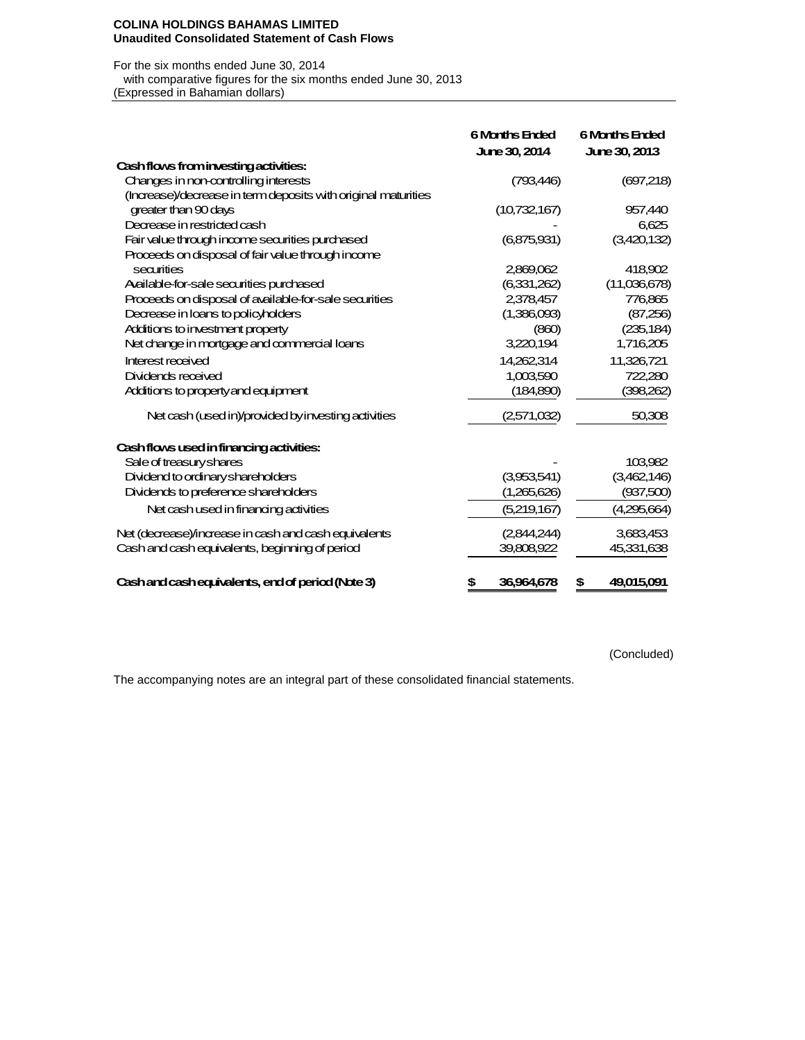#### **COLINA HOLDINGS BAHAMAS LIMITED Unaudited Consolidated Statement of Cash Flows**

### For the six months ended June 30, 2014

 with comparative figures for the six months ended June 30, 2013 (Expressed in Bahamian dollars)

|                                                               | <b>6 Months Ended</b><br><b>June 30, 2014</b> | <b>6 Months Ended</b><br><b>June 30, 2013</b> |
|---------------------------------------------------------------|-----------------------------------------------|-----------------------------------------------|
| Cash flows from investing activities:                         |                                               |                                               |
| Changes in non-controlling interests                          | (793,446)                                     | (697,218)                                     |
| (Increase)/decrease in term deposits with original maturities |                                               |                                               |
| greater than 90 days                                          | (10,732,167)                                  | 957,440                                       |
| Decrease in restricted cash                                   |                                               | 6.625                                         |
| Fair value through income securities purchased                | (6,875,931)                                   | (3,420,132)                                   |
| Proceeds on disposal of fair value through income             |                                               |                                               |
| securities                                                    | 2,869,062                                     | 418,902                                       |
| Acilable-for-sale securities purchased                        | (6,331,262)                                   | (11,036,678)                                  |
| Proceeds on disposal of available for-sale securities         | 2,378,457                                     | 776,865                                       |
| Decrease in loans to policyholders                            | (1,386,093)                                   | (87,256)                                      |
| Additions to investment property                              | (860)                                         | (235, 184)                                    |
| Net change in mortgage and commercial loans                   | 3,220,194                                     | 1,716,205                                     |
| Interest received                                             | 14,262,314                                    | 11,326,721                                    |
| Dividends received                                            | 1,003,590                                     | 722,280                                       |
| Additions to property and equipment                           | (184,890)                                     | (398,262)                                     |
| Net cash (used in)/provided by investing activities           | (2,571,032)                                   | 50,308                                        |
| Cash flows used in financing activities:                      |                                               |                                               |
| Sale of treasury shares                                       |                                               | 103,982                                       |
| Dividend to ordinary shareholders                             | (3,953,541)                                   | (3,462,146)                                   |
| Dividends to preference shareholders                          | (1,265,626)                                   | (937,500)                                     |
| Net cash used in financing activities                         | (5,219,167)                                   | (4,295,664)                                   |
| Net (decrease)/increase in cash and cash equivalents          | (2,844,244)                                   | 3,683,453                                     |
| Cash and cash equivalents, beginning of period                | 39,808,922                                    | 45,331,638                                    |
| Cashand cash equivalents, end of period (Note 3)              | 36,964,678<br>\$                              | 49,015,091<br>\$                              |

(Concluded)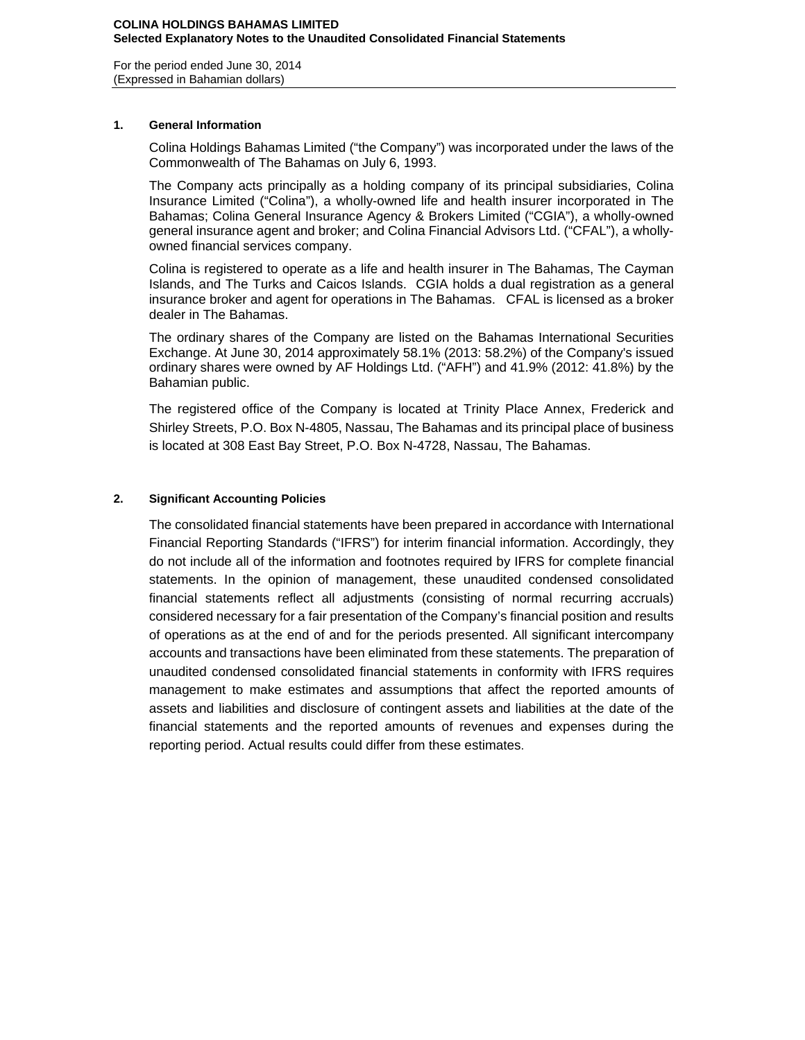For the period ended June 30, 2014 (Expressed in Bahamian dollars)

# **1. General Information**

Colina Holdings Bahamas Limited ("the Company") was incorporated under the laws of the Commonwealth of The Bahamas on July 6, 1993.

The Company acts principally as a holding company of its principal subsidiaries, Colina Insurance Limited ("Colina"), a wholly-owned life and health insurer incorporated in The Bahamas; Colina General Insurance Agency & Brokers Limited ("CGIA"), a wholly-owned general insurance agent and broker; and Colina Financial Advisors Ltd. ("CFAL"), a whollyowned financial services company.

Colina is registered to operate as a life and health insurer in The Bahamas, The Cayman Islands, and The Turks and Caicos Islands. CGIA holds a dual registration as a general insurance broker and agent for operations in The Bahamas. CFAL is licensed as a broker dealer in The Bahamas.

The ordinary shares of the Company are listed on the Bahamas International Securities Exchange. At June 30, 2014 approximately 58.1% (2013: 58.2%) of the Company's issued ordinary shares were owned by AF Holdings Ltd. ("AFH") and 41.9% (2012: 41.8%) by the Bahamian public.

The registered office of the Company is located at Trinity Place Annex, Frederick and Shirley Streets, P.O. Box N-4805, Nassau, The Bahamas and its principal place of business is located at 308 East Bay Street, P.O. Box N-4728, Nassau, The Bahamas.

# **2. Significant Accounting Policies**

The consolidated financial statements have been prepared in accordance with International Financial Reporting Standards ("IFRS") for interim financial information. Accordingly, they do not include all of the information and footnotes required by IFRS for complete financial statements. In the opinion of management, these unaudited condensed consolidated financial statements reflect all adjustments (consisting of normal recurring accruals) considered necessary for a fair presentation of the Company's financial position and results of operations as at the end of and for the periods presented. All significant intercompany accounts and transactions have been eliminated from these statements. The preparation of unaudited condensed consolidated financial statements in conformity with IFRS requires management to make estimates and assumptions that affect the reported amounts of assets and liabilities and disclosure of contingent assets and liabilities at the date of the financial statements and the reported amounts of revenues and expenses during the reporting period. Actual results could differ from these estimates.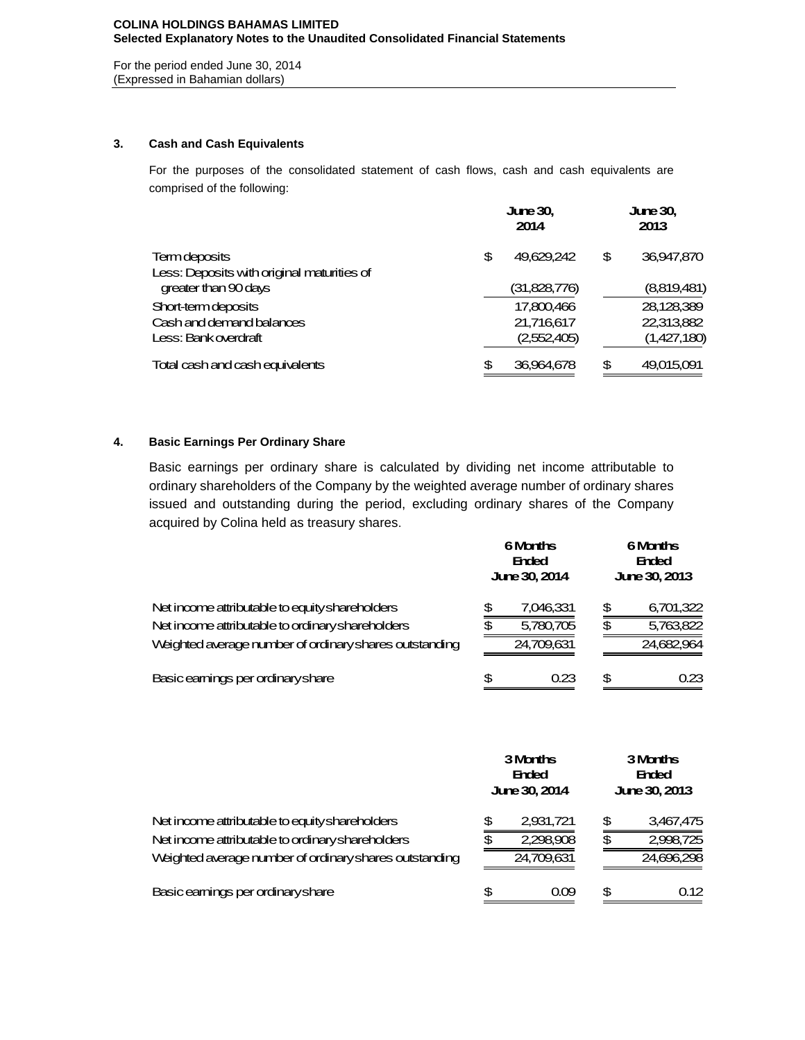For the period ended June 30, 2014 (Expressed in Bahamian dollars)

# **3. Cash and Cash Equivalents**

For the purposes of the consolidated statement of cash flows, cash and cash equivalents are comprised of the following:

|                                            | <b>June 30,</b><br>2014 |              |    | <b>June 30,</b><br>2013 |
|--------------------------------------------|-------------------------|--------------|----|-------------------------|
| <b>Term deposits</b>                       | \$                      | 49.629.242   | \$ | 36,947,870              |
| Less: Deposits with original maturities of |                         |              |    |                         |
| greater than 90 days                       |                         | (31,828,776) |    | (8,819,481)             |
| Short-term deposits                        |                         | 17,800,466   |    | 28,128,389              |
| Cash and demand balances                   |                         | 21,716,617   |    | 22,313,882              |
| Less: Bank overdraft                       |                         | (2,552,405)  |    | (1,427,180)             |
| Total cash and cash equivalents            | \$                      | 36,964,678   | \$ | 49,015,091              |

# **4. Basic Earnings Per Ordinary Share**

Basic earnings per ordinary share is calculated by dividing net income attributable to ordinary shareholders of the Company by the weighted average number of ordinary shares issued and outstanding during the period, excluding ordinary shares of the Company acquired by Colina held as treasury shares.

|                                                        |    | <b>6 Months</b><br><b>Ended</b><br><b>June 30, 2014</b> | 6 Months<br><b>Ended</b><br>June 30, 2013 |            |  |  |
|--------------------------------------------------------|----|---------------------------------------------------------|-------------------------------------------|------------|--|--|
| Net income attributable to equity shareholders         | \$ | 7,046,331                                               | \$                                        | 6,701,322  |  |  |
| Net income attributable to ordinary shareholders       | \$ | 5,780,705                                               | \$                                        | 5,763,822  |  |  |
| Weighted average number of ordinary shares outstanding |    | 24,709,631                                              |                                           | 24,682,964 |  |  |
| Basic earnings per ordinary share                      | S  | 0.23                                                    | \$                                        | 0.23       |  |  |

|                                                        |    | 3 Months<br><b>Ended</b><br><b>June 30, 2014</b> | 3 Months<br><b>Ended</b><br>June 30, 2013 |            |  |  |
|--------------------------------------------------------|----|--------------------------------------------------|-------------------------------------------|------------|--|--|
| Net income attributable to equity shareholders         | \$ | 2,931,721                                        | \$                                        | 3,467,475  |  |  |
| Net income attributable to ordinary shareholders       | £. | 2,298,908                                        | \$                                        | 2,998,725  |  |  |
| Weighted average number of ordinary shares outstanding |    | 24,709,631                                       |                                           | 24,696,298 |  |  |
| Basic earnings per ordinary share                      | \$ | 0.09                                             | \$                                        | 0.12       |  |  |